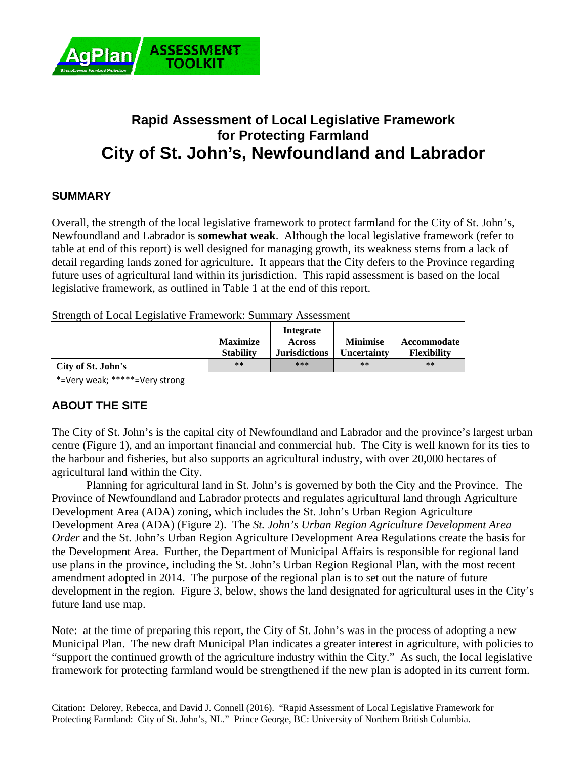

# **Rapid Assessment of Local Legislative Framework for Protecting Farmland City of St. John's, Newfoundland and Labrador**

## **SUMMARY**

Overall, the strength of the local legislative framework to protect farmland for the City of St. John's, Newfoundland and Labrador is **somewhat weak**. Although the local legislative framework (refer to table at end of this report) is well designed for managing growth, its weakness stems from a lack of detail regarding lands zoned for agriculture. It appears that the City defers to the Province regarding future uses of agricultural land within its jurisdiction. This rapid assessment is based on the local legislative framework, as outlined in Table 1 at the end of this report.

Strength of Local Legislative Framework: Summary Assessment

|                    | <b>Maximize</b>  | Integrate<br><b>Across</b> | <b>Minimise</b>    | Accommodate        |
|--------------------|------------------|----------------------------|--------------------|--------------------|
|                    | <b>Stability</b> | <b>Jurisdictions</b>       | <b>Uncertainty</b> | <b>Flexibility</b> |
| City of St. John's | $***$            | ***                        | $***$              | $**$               |

\*=Very weak; \*\*\*\*\*=Very strong

# **ABOUT THE SITE**

The City of St. John's is the capital city of Newfoundland and Labrador and the province's largest urban centre (Figure 1), and an important financial and commercial hub. The City is well known for its ties to the harbour and fisheries, but also supports an agricultural industry, with over 20,000 hectares of agricultural land within the City.

 Planning for agricultural land in St. John's is governed by both the City and the Province. The Province of Newfoundland and Labrador protects and regulates agricultural land through Agriculture Development Area (ADA) zoning, which includes the St. John's Urban Region Agriculture Development Area (ADA) (Figure 2). The *St. John's Urban Region Agriculture Development Area Order* and the St. John's Urban Region Agriculture Development Area Regulations create the basis for the Development Area. Further, the Department of Municipal Affairs is responsible for regional land use plans in the province, including the St. John's Urban Region Regional Plan, with the most recent amendment adopted in 2014. The purpose of the regional plan is to set out the nature of future development in the region. Figure 3, below, shows the land designated for agricultural uses in the City's future land use map.

Note: at the time of preparing this report, the City of St. John's was in the process of adopting a new Municipal Plan. The new draft Municipal Plan indicates a greater interest in agriculture, with policies to "support the continued growth of the agriculture industry within the City." As such, the local legislative framework for protecting farmland would be strengthened if the new plan is adopted in its current form.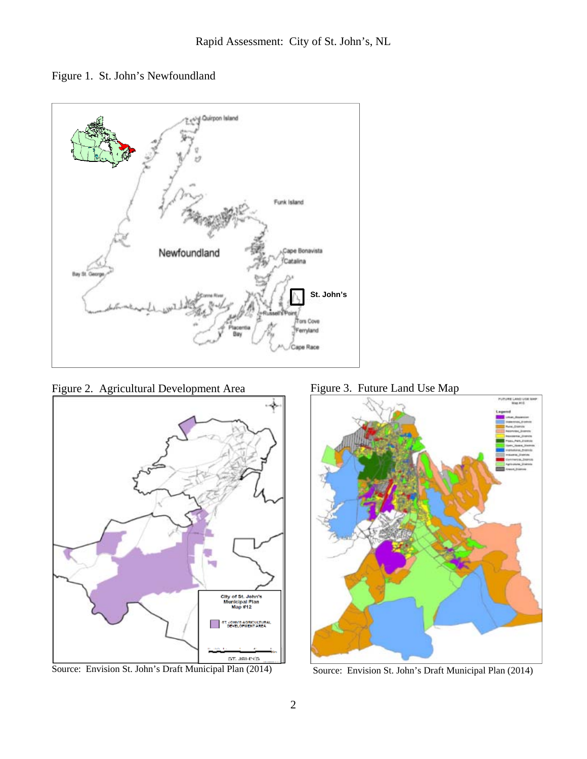Figure 1. St. John's Newfoundland



Figure 2. Agricultural Development Area



Source: Envision St. John's Draft Municipal Plan (2014)

Figure 3. Future Land Use Map



Source: Envision St. John's Draft Municipal Plan (2014)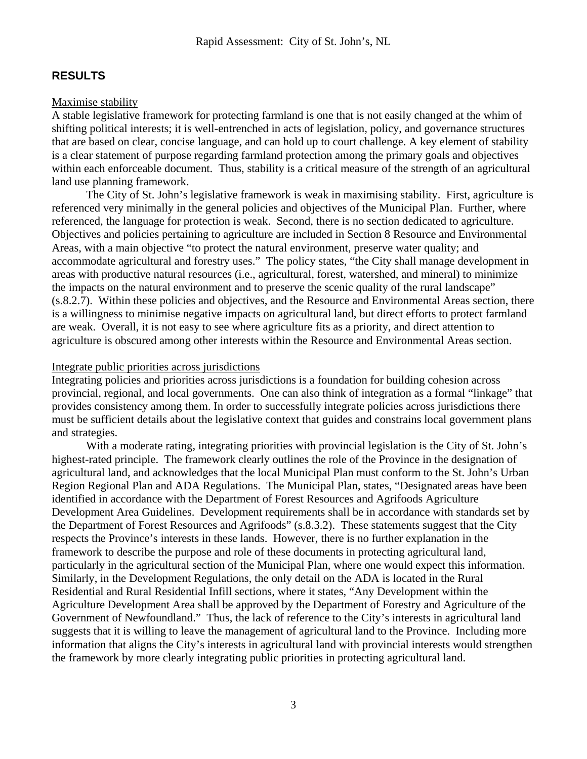### **RESULTS**

#### Maximise stability

A stable legislative framework for protecting farmland is one that is not easily changed at the whim of shifting political interests; it is well-entrenched in acts of legislation, policy, and governance structures that are based on clear, concise language, and can hold up to court challenge. A key element of stability is a clear statement of purpose regarding farmland protection among the primary goals and objectives within each enforceable document. Thus, stability is a critical measure of the strength of an agricultural land use planning framework.

 The City of St. John's legislative framework is weak in maximising stability. First, agriculture is referenced very minimally in the general policies and objectives of the Municipal Plan. Further, where referenced, the language for protection is weak. Second, there is no section dedicated to agriculture. Objectives and policies pertaining to agriculture are included in Section 8 Resource and Environmental Areas, with a main objective "to protect the natural environment, preserve water quality; and accommodate agricultural and forestry uses." The policy states, "the City shall manage development in areas with productive natural resources (i.e., agricultural, forest, watershed, and mineral) to minimize the impacts on the natural environment and to preserve the scenic quality of the rural landscape" (s.8.2.7). Within these policies and objectives, and the Resource and Environmental Areas section, there is a willingness to minimise negative impacts on agricultural land, but direct efforts to protect farmland are weak. Overall, it is not easy to see where agriculture fits as a priority, and direct attention to agriculture is obscured among other interests within the Resource and Environmental Areas section.

#### Integrate public priorities across jurisdictions

Integrating policies and priorities across jurisdictions is a foundation for building cohesion across provincial, regional, and local governments. One can also think of integration as a formal "linkage" that provides consistency among them. In order to successfully integrate policies across jurisdictions there must be sufficient details about the legislative context that guides and constrains local government plans and strategies.

 With a moderate rating, integrating priorities with provincial legislation is the City of St. John's highest-rated principle. The framework clearly outlines the role of the Province in the designation of agricultural land, and acknowledges that the local Municipal Plan must conform to the St. John's Urban Region Regional Plan and ADA Regulations. The Municipal Plan, states, "Designated areas have been identified in accordance with the Department of Forest Resources and Agrifoods Agriculture Development Area Guidelines. Development requirements shall be in accordance with standards set by the Department of Forest Resources and Agrifoods" (s.8.3.2). These statements suggest that the City respects the Province's interests in these lands. However, there is no further explanation in the framework to describe the purpose and role of these documents in protecting agricultural land, particularly in the agricultural section of the Municipal Plan, where one would expect this information. Similarly, in the Development Regulations, the only detail on the ADA is located in the Rural Residential and Rural Residential Infill sections, where it states, "Any Development within the Agriculture Development Area shall be approved by the Department of Forestry and Agriculture of the Government of Newfoundland." Thus, the lack of reference to the City's interests in agricultural land suggests that it is willing to leave the management of agricultural land to the Province. Including more information that aligns the City's interests in agricultural land with provincial interests would strengthen the framework by more clearly integrating public priorities in protecting agricultural land.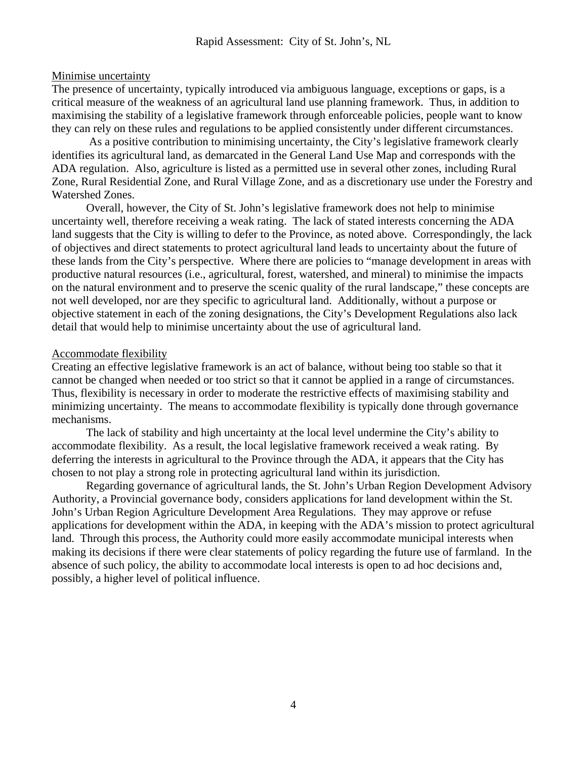#### Minimise uncertainty

The presence of uncertainty, typically introduced via ambiguous language, exceptions or gaps, is a critical measure of the weakness of an agricultural land use planning framework. Thus, in addition to maximising the stability of a legislative framework through enforceable policies, people want to know they can rely on these rules and regulations to be applied consistently under different circumstances.

 As a positive contribution to minimising uncertainty, the City's legislative framework clearly identifies its agricultural land, as demarcated in the General Land Use Map and corresponds with the ADA regulation. Also, agriculture is listed as a permitted use in several other zones, including Rural Zone, Rural Residential Zone, and Rural Village Zone, and as a discretionary use under the Forestry and Watershed Zones.

Overall, however, the City of St. John's legislative framework does not help to minimise uncertainty well, therefore receiving a weak rating. The lack of stated interests concerning the ADA land suggests that the City is willing to defer to the Province, as noted above. Correspondingly, the lack of objectives and direct statements to protect agricultural land leads to uncertainty about the future of these lands from the City's perspective. Where there are policies to "manage development in areas with productive natural resources (i.e., agricultural, forest, watershed, and mineral) to minimise the impacts on the natural environment and to preserve the scenic quality of the rural landscape," these concepts are not well developed, nor are they specific to agricultural land. Additionally, without a purpose or objective statement in each of the zoning designations, the City's Development Regulations also lack detail that would help to minimise uncertainty about the use of agricultural land.

#### Accommodate flexibility

Creating an effective legislative framework is an act of balance, without being too stable so that it cannot be changed when needed or too strict so that it cannot be applied in a range of circumstances. Thus, flexibility is necessary in order to moderate the restrictive effects of maximising stability and minimizing uncertainty. The means to accommodate flexibility is typically done through governance mechanisms.

The lack of stability and high uncertainty at the local level undermine the City's ability to accommodate flexibility. As a result, the local legislative framework received a weak rating. By deferring the interests in agricultural to the Province through the ADA, it appears that the City has chosen to not play a strong role in protecting agricultural land within its jurisdiction.

Regarding governance of agricultural lands, the St. John's Urban Region Development Advisory Authority, a Provincial governance body, considers applications for land development within the St. John's Urban Region Agriculture Development Area Regulations. They may approve or refuse applications for development within the ADA, in keeping with the ADA's mission to protect agricultural land. Through this process, the Authority could more easily accommodate municipal interests when making its decisions if there were clear statements of policy regarding the future use of farmland. In the absence of such policy, the ability to accommodate local interests is open to ad hoc decisions and, possibly, a higher level of political influence.